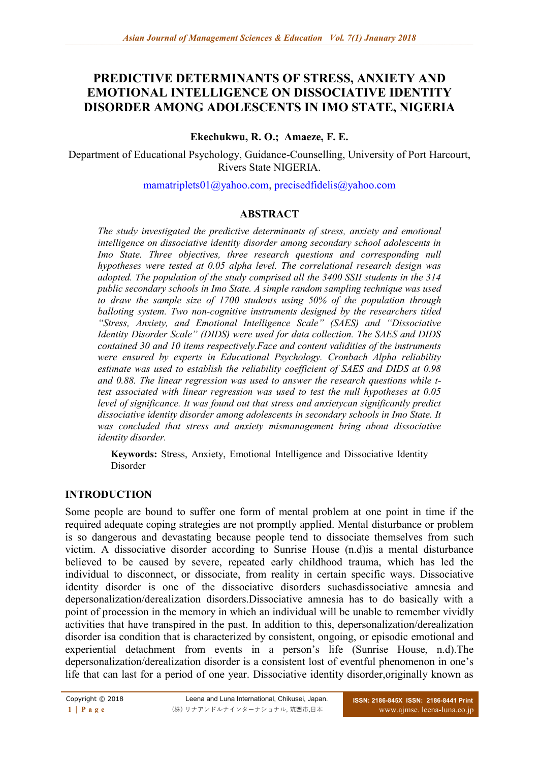# **PREDICTIVE DETERMINANTS OF STRESS, ANXIETY AND EMOTIONAL INTELLIGENCE ON DISSOCIATIVE IDENTITY DISORDER AMONG ADOLESCENTS IN IMO STATE, NIGERIA**

### **Ekechukwu, R. O.; Amaeze, F. E.**

Department of Educational Psychology, Guidance-Counselling, University of Port Harcourt, Rivers State NIGERIA.

[mamatriplets01@yahoo.com,](mailto:mamatriplets01@yahoo.com) [precisedfidelis@yahoo.com](mailto:precisedfidelis@yahoo.com)

### **ABSTRACT**

*The study investigated the predictive determinants of stress, anxiety and emotional intelligence on dissociative identity disorder among secondary school adolescents in Imo State. Three objectives, three research questions and corresponding null hypotheses were tested at 0.05 alpha level. The correlational research design was adopted. The population of the study comprised all the 3400 SSII students in the 314 public secondary schools in Imo State. A simple random sampling technique was used to draw the sample size of 1700 students using 50% of the population through balloting system. Two non-cognitive instruments designed by the researchers titled "Stress, Anxiety, and Emotional Intelligence Scale" (SAES) and "Dissociative Identity Disorder Scale" (DIDS) were used for data collection. The SAES and DIDS contained 30 and 10 items respectively.Face and content validities of the instruments were ensured by experts in Educational Psychology. Cronbach Alpha reliability estimate was used to establish the reliability coefficient of SAES and DIDS at 0.98 and 0.88. The linear regression was used to answer the research questions while ttest associated with linear regression was used to test the null hypotheses at 0.05 level of significance. It was found out that stress and anxietycan significantly predict dissociative identity disorder among adolescents in secondary schools in Imo State. It was concluded that stress and anxiety mismanagement bring about dissociative identity disorder.*

**Keywords:** Stress, Anxiety, Emotional Intelligence and Dissociative Identity Disorder

#### **INTRODUCTION**

Some people are bound to suffer one form of mental problem at one point in time if the required adequate coping strategies are not promptly applied. Mental disturbance or problem is so dangerous and devastating because people tend to dissociate themselves from such victim. A dissociative disorder according to Sunrise House (n.d)is a mental disturbance believed to be caused by severe, repeated early childhood trauma, which has led the individual to disconnect, or dissociate, from reality in certain specific ways. Dissociative identity disorder is one of the dissociative disorders suchasdissociative amnesia and depersonalization/derealization disorders.Dissociative amnesia has to do basically with a point of procession in the memory in which an individual will be unable to remember vividly activities that have transpired in the past. In addition to this, depersonalization/derealization disorder isa condition that is characterized by consistent, ongoing, or episodic emotional and experiential detachment from events in a person's life (Sunrise House, n.d).The depersonalization/derealization disorder is a consistent lost of eventful phenomenon in one's life that can last for a period of one year. Dissociative identity disorder,originally known as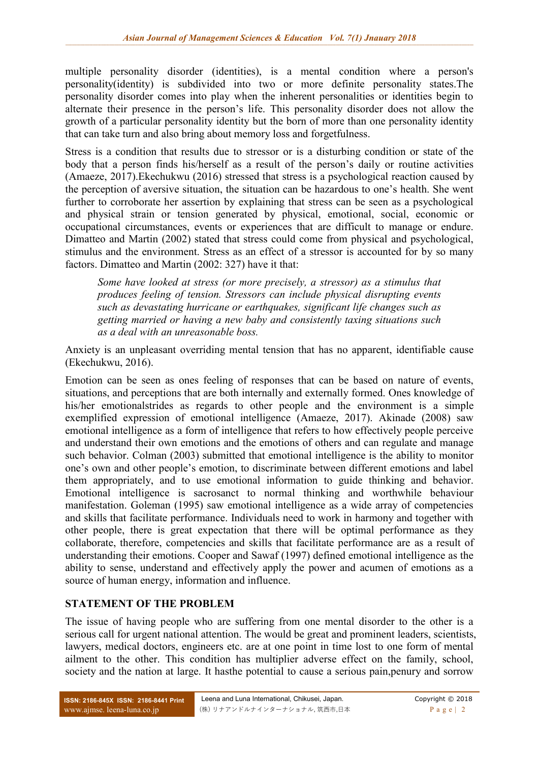multiple personality disorder (identities), is a mental condition where a person's personality(identity) is subdivided into two or more definite personality states.The personality disorder comes into play when the inherent personalities or identities begin to alternate their presence in the person's life. This personality disorder does not allow the growth of a particular personality identity but the born of more than one personality identity that can take turn and also bring about memory loss and forgetfulness.

Stress is a condition that results due to stressor or is a disturbing condition or state of the body that a person finds his/herself as a result of the person's daily or routine activities (Amaeze, 2017).Ekechukwu (2016) stressed that stress is a psychological reaction caused by the perception of aversive situation, the situation can be hazardous to one's health. She went further to corroborate her assertion by explaining that stress can be seen as a psychological and physical strain or tension generated by physical, emotional, social, economic or occupational circumstances, events or experiences that are difficult to manage or endure. Dimatteo and Martin (2002) stated that stress could come from physical and psychological, stimulus and the environment. Stress as an effect of a stressor is accounted for by so many factors. Dimatteo and Martin (2002: 327) have it that:

*Some have looked at stress (or more precisely, a stressor) as a stimulus that produces feeling of tension. Stressors can include physical disrupting events such as devastating hurricane or earthquakes, significant life changes such as getting married or having a new baby and consistently taxing situations such as a deal with an unreasonable boss.*

Anxiety is an unpleasant overriding mental tension that has no apparent, identifiable cause (Ekechukwu, 2016).

Emotion can be seen as ones feeling of responses that can be based on nature of events, situations, and perceptions that are both internally and externally formed. Ones knowledge of his/her emotionalstrides as regards to other people and the environment is a simple exemplified expression of emotional intelligence (Amaeze, 2017). Akinade (2008) saw emotional intelligence as a form of intelligence that refers to how effectively people perceive and understand their own emotions and the emotions of others and can regulate and manage such behavior. Colman (2003) submitted that emotional intelligence is the ability to monitor one's own and other people's emotion, to discriminate between different emotions and label them appropriately, and to use emotional information to guide thinking and behavior. Emotional intelligence is sacrosanct to normal thinking and worthwhile behaviour manifestation. Goleman (1995) saw emotional intelligence as a wide array of competencies and skills that facilitate performance. Individuals need to work in harmony and together with other people, there is great expectation that there will be optimal performance as they collaborate, therefore, competencies and skills that facilitate performance are as a result of understanding their emotions. Cooper and Sawaf (1997) defined emotional intelligence as the ability to sense, understand and effectively apply the power and acumen of emotions as a source of human energy, information and influence.

# **STATEMENT OF THE PROBLEM**

The issue of having people who are suffering from one mental disorder to the other is a serious call for urgent national attention. The would be great and prominent leaders, scientists, lawyers, medical doctors, engineers etc. are at one point in time lost to one form of mental ailment to the other. This condition has multiplier adverse effect on the family, school, society and the nation at large. It hasthe potential to cause a serious pain,penury and sorrow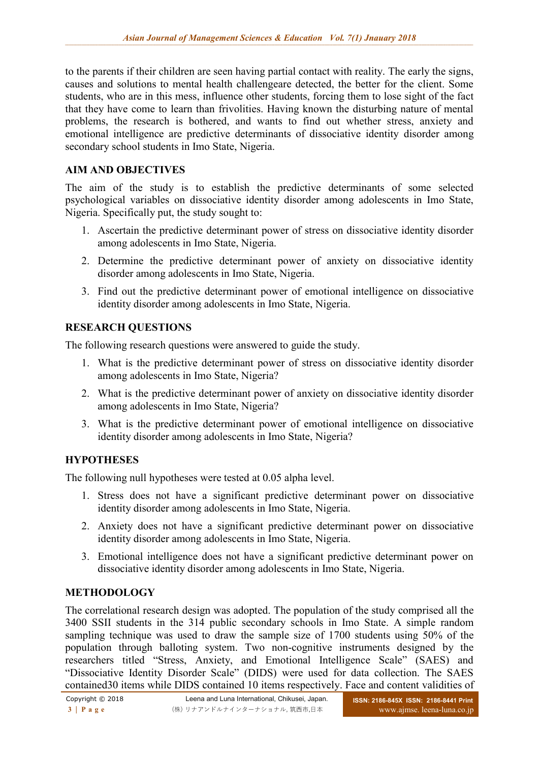to the parents if their children are seen having partial contact with reality. The early the signs, causes and solutions to mental health challengeare detected, the better for the client. Some students, who are in this mess, influence other students, forcing them to lose sight of the fact that they have come to learn than frivolities. Having known the disturbing nature of mental problems, the research is bothered, and wants to find out whether stress, anxiety and emotional intelligence are predictive determinants of dissociative identity disorder among secondary school students in Imo State, Nigeria.

### **AIM AND OBJECTIVES**

The aim of the study is to establish the predictive determinants of some selected psychological variables on dissociative identity disorder among adolescents in Imo State, Nigeria. Specifically put, the study sought to:

- 1. Ascertain the predictive determinant power of stress on dissociative identity disorder among adolescents in Imo State, Nigeria.
- 2. Determine the predictive determinant power of anxiety on dissociative identity disorder among adolescents in Imo State, Nigeria.
- 3. Find out the predictive determinant power of emotional intelligence on dissociative identity disorder among adolescents in Imo State, Nigeria.

# **RESEARCH QUESTIONS**

The following research questions were answered to guide the study.

- 1. What is the predictive determinant power of stress on dissociative identity disorder among adolescents in Imo State, Nigeria?
- 2. What is the predictive determinant power of anxiety on dissociative identity disorder among adolescents in Imo State, Nigeria?
- 3. What is the predictive determinant power of emotional intelligence on dissociative identity disorder among adolescents in Imo State, Nigeria?

# **HYPOTHESES**

The following null hypotheses were tested at 0.05 alpha level.

- 1. Stress does not have a significant predictive determinant power on dissociative identity disorder among adolescents in Imo State, Nigeria.
- 2. Anxiety does not have a significant predictive determinant power on dissociative identity disorder among adolescents in Imo State, Nigeria.
- 3. Emotional intelligence does not have a significant predictive determinant power on dissociative identity disorder among adolescents in Imo State, Nigeria.

# **METHODOLOGY**

The correlational research design was adopted. The population of the study comprised all the 3400 SSII students in the 314 public secondary schools in Imo State. A simple random sampling technique was used to draw the sample size of 1700 students using 50% of the population through balloting system. Two non-cognitive instruments designed by the researchers titled "Stress, Anxiety, and Emotional Intelligence Scale" (SAES) and "Dissociative Identity Disorder Scale" (DIDS) were used for data collection. The SAES contained30 items while DIDS contained 10 items respectively. Face and content validities of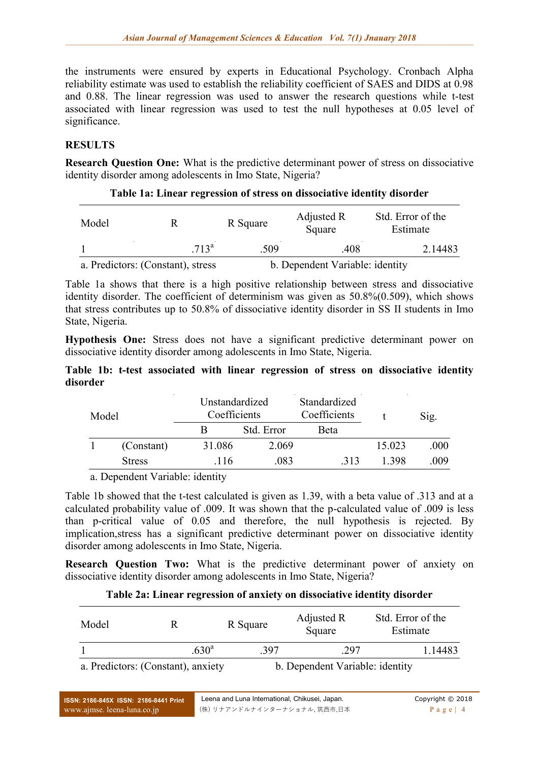the instruments were ensured by experts in Educational Psychology. Cronbach Alpha reliability estimate was used to establish the reliability coefficient of SAES and DIDS at 0.98 and 0.88. The linear regression was used to answer the research questions while t-test associated with linear regression was used to test the null hypotheses at 0.05 level of significance.

# **RESULTS**

**Research Question One:** What is the predictive determinant power of stress on dissociative identity disorder among adolescents in Imo State, Nigeria?

#### **Table 1a: Linear regression of stress on dissociative identity disorder**

| Model |                                   | R Square | Adjusted R<br>Square            | Std. Error of the<br>Estimate |
|-------|-----------------------------------|----------|---------------------------------|-------------------------------|
|       | 713 <sup>a</sup>                  | -509-    | .408                            | 2.14483                       |
|       | a. Predictors: (Constant), stress |          | b. Dependent Variable: identity |                               |

Table 1a shows that there is a high positive relationship between stress and dissociative identity disorder. The coefficient of determinism was given as 50.8%(0.509), which shows that stress contributes up to 50.8% of dissociative identity disorder in SS II students in Imo State, Nigeria.

**Hypothesis One:** Stress does not have a significant predictive determinant power on dissociative identity disorder among adolescents in Imo State, Nigeria.

#### **Table 1b: t-test associated with linear regression of stress on dissociative identity disorder**

| Model |               | Unstandardized<br>Coefficients | Standardized<br>Coefficients |      |        | Sig. |
|-------|---------------|--------------------------------|------------------------------|------|--------|------|
|       |               | B                              | Std. Error                   | Beta |        |      |
|       | (Constant)    | 31.086                         | 2.069                        |      | 15.023 | .000 |
|       | <b>Stress</b> | .116                           | .083                         | .313 | 1 398  | .009 |
| $-$   | .<br>.        |                                |                              |      |        |      |

a. Dependent Variable: identity

Table 1b showed that the t-test calculated is given as 1.39, with a beta value of .313 and at a calculated probability value of .009. It was shown that the p-calculated value of .009 is less than p-critical value of 0.05 and therefore, the null hypothesis is rejected. By implication,stress has a significant predictive determinant power on dissociative identity disorder among adolescents in Imo State, Nigeria.

**Research Question Two:** What is the predictive determinant power of anxiety on dissociative identity disorder among adolescents in Imo State, Nigeria?

#### **Table 2a: Linear regression of anxiety on dissociative identity disorder**

| Model | R                                  | R Square | Adjusted R<br>Square            | Std. Error of the<br>Estimate |  |
|-------|------------------------------------|----------|---------------------------------|-------------------------------|--|
|       | .630 <sup>a</sup>                  | .397     | 297                             | 1.14483                       |  |
|       | a. Predictors: (Constant), anxiety |          | b. Dependent Variable: identity |                               |  |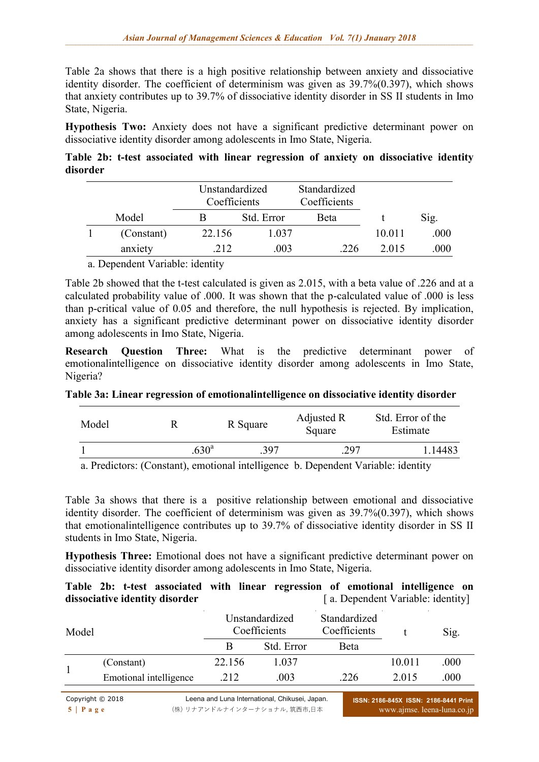Table 2a shows that there is a high positive relationship between anxiety and dissociative identity disorder. The coefficient of determinism was given as 39.7%(0.397), which shows that anxiety contributes up to 39.7% of dissociative identity disorder in SS II students in Imo State, Nigeria.

**Hypothesis Two:** Anxiety does not have a significant predictive determinant power on dissociative identity disorder among adolescents in Imo State, Nigeria.

**Table 2b: t-test associated with linear regression of anxiety on dissociative identity disorder** 

|       |            | Unstandardized<br>Coefficients |            | Standardized<br>Coefficients |        |      |
|-------|------------|--------------------------------|------------|------------------------------|--------|------|
| Model |            |                                | Std. Error | <b>Beta</b>                  |        | Sig. |
|       | (Constant) | 22.156                         | 1.037      |                              | 10.011 | .000 |
|       | anxiety    | 212                            | .003       | 226                          | 2.015  | 000  |

a. Dependent Variable: identity

Table 2b showed that the t-test calculated is given as 2.015, with a beta value of .226 and at a calculated probability value of .000. It was shown that the p-calculated value of .000 is less than p-critical value of 0.05 and therefore, the null hypothesis is rejected. By implication, anxiety has a significant predictive determinant power on dissociative identity disorder among adolescents in Imo State, Nigeria.

**Research Question Three:** What is the predictive determinant power of emotionalintelligence on dissociative identity disorder among adolescents in Imo State, Nigeria?

# **Table 3a: Linear regression of emotionalintelligence on dissociative identity disorder**

| Model |                                                                                | R Square | Adjusted R<br>Square | Std. Error of the<br>Estimate |  |
|-------|--------------------------------------------------------------------------------|----------|----------------------|-------------------------------|--|
|       | .630 <sup>a</sup>                                                              | 397      | 297                  | .14483                        |  |
|       | a Duadistary (Cangtant) surprised intelligence le Demondant Vanighles identity |          |                      |                               |  |

a. Predictors: (Constant), emotional intelligence b. Dependent Variable: identity

Table 3a shows that there is a positive relationship between emotional and dissociative identity disorder. The coefficient of determinism was given as 39.7%(0.397), which shows that emotionalintelligence contributes up to 39.7% of dissociative identity disorder in SS II students in Imo State, Nigeria.

**Hypothesis Three:** Emotional does not have a significant predictive determinant power on dissociative identity disorder among adolescents in Imo State, Nigeria.

|  |                                |  |  | Table 2b: t-test associated with linear regression of emotional intelligence on |  |
|--|--------------------------------|--|--|---------------------------------------------------------------------------------|--|
|  | dissociative identity disorder |  |  | [a. Dependent Variable: identity]                                               |  |

| Model |                        |        | Unstandardized<br>Coefficients | Standardized<br>Coefficients |         | Sig. |  |
|-------|------------------------|--------|--------------------------------|------------------------------|---------|------|--|
|       |                        | В      | Std. Error                     | Beta                         |         |      |  |
|       | (Constant)             | 22.156 | 1.037                          |                              | 10.011  | .000 |  |
|       | Emotional intelligence | .212   | .003                           | .226                         | 2 0 1 5 | .000 |  |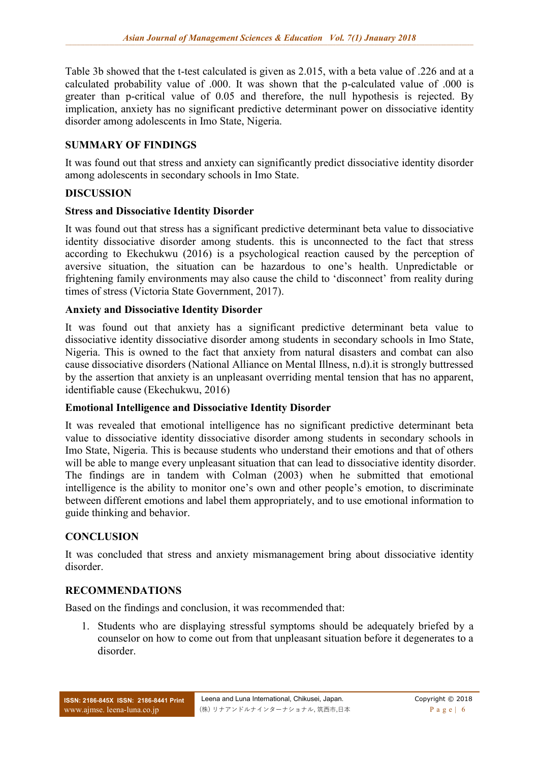Table 3b showed that the t-test calculated is given as 2.015, with a beta value of .226 and at a calculated probability value of .000. It was shown that the p-calculated value of .000 is greater than p-critical value of 0.05 and therefore, the null hypothesis is rejected. By implication, anxiety has no significant predictive determinant power on dissociative identity disorder among adolescents in Imo State, Nigeria.

# **SUMMARY OF FINDINGS**

It was found out that stress and anxiety can significantly predict dissociative identity disorder among adolescents in secondary schools in Imo State.

### **DISCUSSION**

### **Stress and Dissociative Identity Disorder**

It was found out that stress has a significant predictive determinant beta value to dissociative identity dissociative disorder among students. this is unconnected to the fact that stress according to Ekechukwu (2016) is a psychological reaction caused by the perception of aversive situation, the situation can be hazardous to one's health. Unpredictable or frightening family environments may also cause the child to 'disconnect' from reality during times of stress (Victoria State Government, 2017).

### **Anxiety and Dissociative Identity Disorder**

It was found out that anxiety has a significant predictive determinant beta value to dissociative identity dissociative disorder among students in secondary schools in Imo State, Nigeria. This is owned to the fact that anxiety from natural disasters and combat can also cause dissociative disorders (National Alliance on Mental Illness, n.d).it is strongly buttressed by the assertion that anxiety is an unpleasant overriding mental tension that has no apparent, identifiable cause (Ekechukwu, 2016)

# **Emotional Intelligence and Dissociative Identity Disorder**

It was revealed that emotional intelligence has no significant predictive determinant beta value to dissociative identity dissociative disorder among students in secondary schools in Imo State, Nigeria. This is because students who understand their emotions and that of others will be able to mange every unpleasant situation that can lead to dissociative identity disorder. The findings are in tandem with Colman (2003) when he submitted that emotional intelligence is the ability to monitor one's own and other people's emotion, to discriminate between different emotions and label them appropriately, and to use emotional information to guide thinking and behavior.

# **CONCLUSION**

It was concluded that stress and anxiety mismanagement bring about dissociative identity disorder.

#### **RECOMMENDATIONS**

Based on the findings and conclusion, it was recommended that:

1. Students who are displaying stressful symptoms should be adequately briefed by a counselor on how to come out from that unpleasant situation before it degenerates to a disorder.